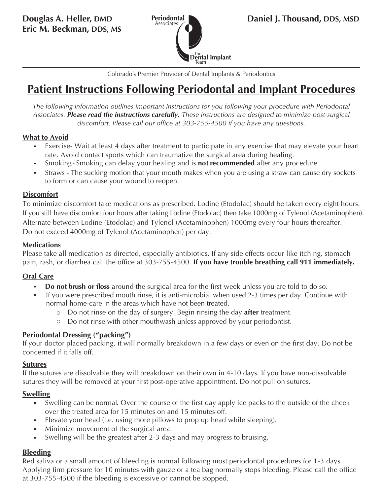

Colorado's Premier Provider of Dental Implants & Periodontics

# **Patient Instructions Following Periodontal and Implant Procedures**

*The following information outlines important instructions for you following your procedure with Periodontal Associates. Please read the instructions carefully. These instructions are designed to minimize post-surgical discomfort. Please call our office at 303-755-4500 if you have any questions.*

#### **What to Avoid**

- Exercise Wait at least 4 days after treatment to participate in any exercise that may elevate your heart rate. Avoid contact sports which can traumatize the surgical area during healing.
- S moking- Smoking can delay your healing and is **not recommended** after any procedure.
- Straws The sucking motion that your mouth makes when you are using a straw can cause dry sockets to form or can cause your wound to reopen.

## **Discomfort**

To minimize discomfort take medications as prescribed. Lodine (Etodolac) should be taken every eight hours. If you still have discomfort four hours after taking Lodine (Etodolac) then take 1000mg of Tylenol (Acetaminophen). Alternate between Lodine (Etodolac) and Tylenol (Acetaminophen) 1000mg every four hours thereafter. Do not exceed 4000mg of Tylenol (Acetaminophen) per day.

### **Medications**

Please take all medication as directed, especially antibiotics. If any side effects occur like itching, stomach pain, rash, or diarrhea call the office at 303-755-4500. **If you have trouble breathing call 911 immediately.**

# **Oral Care**

- **Do not brush or floss** around the surgical area for the first week unless you are told to do so.
- If you were prescribed mouth rinse, it is anti-microbial when used 2-3 times per day. Continue with normal home-care in the areas which have not been treated.
	- o D o not rinse on the day of surgery. Begin rinsing the day **after** treatment.
	- o Do not rinse with other mouthwash unless approved by your periodontist.

# **Periodontal Dressing ("packing")**

If your doctor placed packing, it will normally breakdown in a few days or even on the first day. Do not be concerned if it falls off.

#### **Sutures**

If the sutures are dissolvable they will breakdown on their own in 4-10 days. If you have non-dissolvable sutures they will be removed at your first post-operative appointment. Do not pull on sutures.

# **Swelling**

- Swelling can be normal. Over the course of the first day apply ice packs to the outside of the cheek  $\blacksquare$ over the treated area for 15 minutes on and 15 minutes off.
- Elevate your head (i.e. using more pillows to prop up head while sleeping).
- Minimize movement of the surgical area.
- Swelling will be the greatest after 2-3 days and may progress to bruising.  $\blacksquare$

# **Bleeding**

Red saliva or a small amount of bleeding is normal following most periodontal procedures for 1-3 days. Applying firm pressure for 10 minutes with gauze or a tea bag normally stops bleeding. Please call the office at 303-755-4500 if the bleeding is excessive or cannot be stopped.